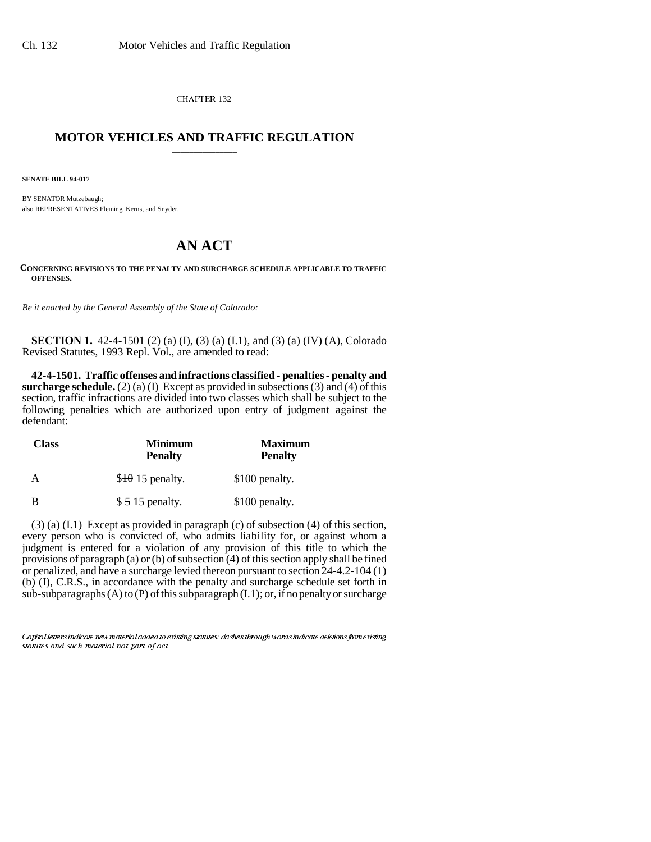CHAPTER 132

### \_\_\_\_\_\_\_\_\_\_\_\_\_\_\_ **MOTOR VEHICLES AND TRAFFIC REGULATION** \_\_\_\_\_\_\_\_\_\_\_\_\_\_\_

**SENATE BILL 94-017**

BY SENATOR Mutzebaugh; also REPRESENTATIVES Fleming, Kerns, and Snyder.

# **AN ACT**

**CONCERNING REVISIONS TO THE PENALTY AND SURCHARGE SCHEDULE APPLICABLE TO TRAFFIC OFFENSES.**

*Be it enacted by the General Assembly of the State of Colorado:*

**SECTION 1.** 42-4-1501 (2) (a) (I), (3) (a) (I.1), and (3) (a) (IV) (A), Colorado Revised Statutes, 1993 Repl. Vol., are amended to read:

**42-4-1501. Traffic offenses and infractions classified - penalties - penalty and surcharge schedule.** (2) (a) (I) Except as provided in subsections (3) and (4) of this section, traffic infractions are divided into two classes which shall be subject to the following penalties which are authorized upon entry of judgment against the defendant:

| <b>Class</b> | <b>Minimum</b><br><b>Penalty</b> | <b>Maximum</b><br><b>Penalty</b> |
|--------------|----------------------------------|----------------------------------|
|              | $$40$ 15 penalty.                | \$100 penalty.                   |
| В            | $$515$ penalty.                  | \$100 penalty.                   |

judgment is entered for a violation of any provision of this title to which the (3) (a) (I.1) Except as provided in paragraph (c) of subsection (4) of this section, every person who is convicted of, who admits liability for, or against whom a provisions of paragraph (a) or (b) of subsection (4) of this section apply shall be fined or penalized, and have a surcharge levied thereon pursuant to section 24-4.2-104 (1) (b) (I), C.R.S., in accordance with the penalty and surcharge schedule set forth in sub-subparagraphs  $(A)$  to  $(P)$  of this subparagraph  $(I,1)$ ; or, if no penalty or surcharge

Capital letters indicate new material added to existing statutes; dashes through words indicate deletions from existing statutes and such material not part of act.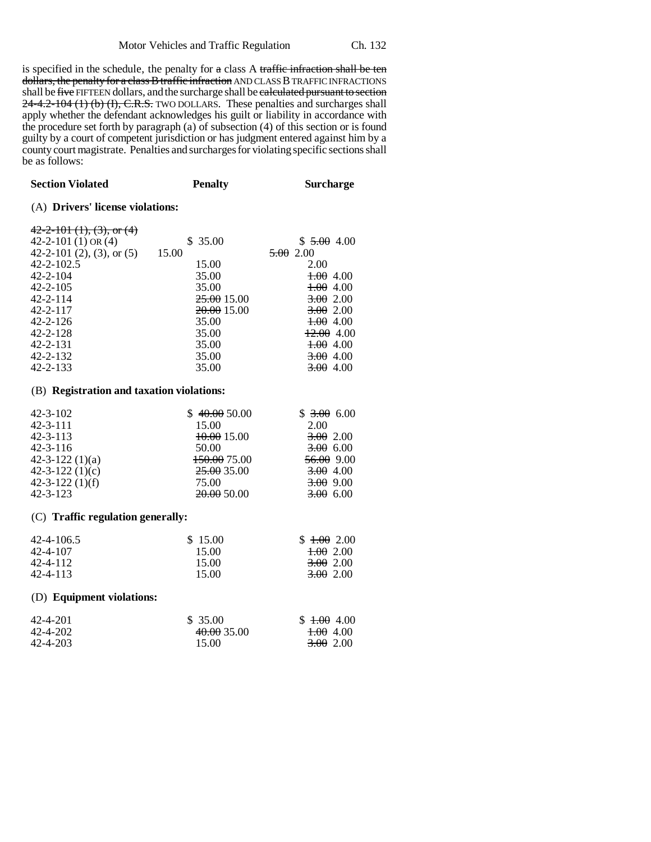is specified in the schedule, the penalty for a class A traffic infraction shall be ten dollars, the penalty for a class B traffic infraction AND CLASS B TRAFFIC INFRACTIONS shall be five FIFTEEN dollars, and the surcharge shall be calculated pursuant to section 24-4.2-104 (1) (b) (I), C.R.S. TWO DOLLARS. These penalties and surcharges shall apply whether the defendant acknowledges his guilt or liability in accordance with the procedure set forth by paragraph (a) of subsection (4) of this section or is found guilty by a court of competent jurisdiction or has judgment entered against him by a county court magistrate. Penalties and surcharges for violating specific sections shall be as follows:

| <b>Section Violated</b>                                                                                                                                                                                                                     | <b>Penalty</b>                                                                                                  | <b>Surcharge</b>                                                                                                                  |  |  |
|---------------------------------------------------------------------------------------------------------------------------------------------------------------------------------------------------------------------------------------------|-----------------------------------------------------------------------------------------------------------------|-----------------------------------------------------------------------------------------------------------------------------------|--|--|
| (A) Drivers' license violations:                                                                                                                                                                                                            |                                                                                                                 |                                                                                                                                   |  |  |
| $42 - 2 - 101$ (1), (3), or (4)<br>42-2-101 $(1)$ OR $(4)$<br>42-2-101 (2), (3), or $(5)$<br>$42 - 2 - 102.5$<br>$42 - 2 - 104$<br>$42 - 2 - 105$<br>$42 - 2 - 114$<br>$42 - 2 - 117$<br>$42 - 2 - 126$<br>$42 - 2 - 128$<br>$42 - 2 - 131$ | \$35.00<br>15.00<br>15.00<br>35.00<br>35.00<br>25.00 15.00<br><del>20.00</del> 15.00<br>35.00<br>35.00<br>35.00 | \$5.00, 4.00<br>5.002.00<br>2.00<br>1.00 4.00<br>$\pm 0.004$<br>3.002.00<br>3.002.00<br>$+00, 400$<br>$+2.00$ 4.00<br>$\pm 0.004$ |  |  |
| $42 - 2 - 132$<br>$42 - 2 - 133$                                                                                                                                                                                                            | 35.00<br>35.00                                                                                                  | <del>3.00</del> 4.00<br><del>3.00</del> 4.00                                                                                      |  |  |
|                                                                                                                                                                                                                                             |                                                                                                                 |                                                                                                                                   |  |  |

#### (B) **Registration and taxation violations:**

| $42 - 3 - 102$        | \$40.0050.00           | \$3.006.00           |
|-----------------------|------------------------|----------------------|
| $42 - 3 - 111$        | 15.00                  | 2.00                 |
| $42 - 3 - 113$        | <del>10.00</del> 15.00 | 3.002.00             |
| $42 - 3 - 116$        | 50.00                  | 3.00, 6.00           |
| $42 - 3 - 122(1)(a)$  | 150.00 75.00           | $56.00$ 9.00         |
| $42 - 3 - 122$ (1)(c) | 25.00 35.00            | <del>3.00</del> 4.00 |
| $42 - 3 - 122$ (1)(f) | 75.00                  | <del>3.00</del> 9.00 |
| $42 - 3 - 123$        | 20.0050.00             | 3.00 6.00            |

#### (C) **Traffic regulation generally:**

| 42-4-106.5 | \$15.00 | \$1.00200            |
|------------|---------|----------------------|
| 42-4-107   | 15.00   | <del>1.00</del> 2.00 |
| 42-4-112   | 15.00   | <del>3.00</del> 2.00 |
| 42-4-113   | 15.00   | <del>3.00</del> 2.00 |

#### (D) **Equipment violations:**

| 42-4-201 | \$ 35.00    | $$1.00$ 4.00         |
|----------|-------------|----------------------|
| 42-4-202 | 40.00 35.00 | <del>1.00</del> 4.00 |
| 42-4-203 | 15.00       | 3.00 2.00            |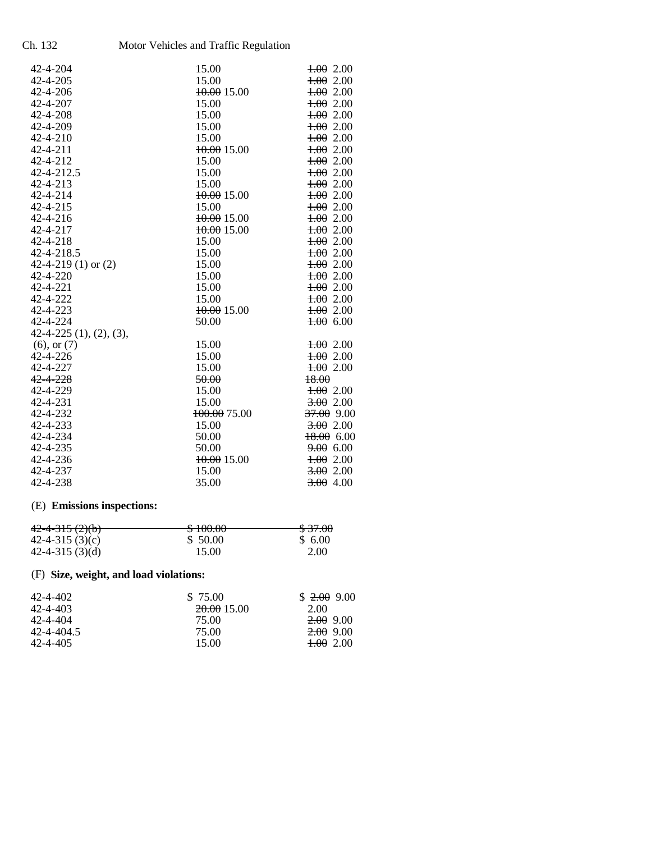Ch. 132 Motor Vehicles and Traffic Regulation

| 42-4-204                    | 15.00                  | $\frac{1.00}{0.00}$ 2.00 |
|-----------------------------|------------------------|--------------------------|
| 42-4-205                    | 15.00                  | $\pm 0.00$               |
| 42-4-206                    | <del>10.00</del> 15.00 | $\pm 002.00$             |
| 42-4-207                    | 15.00                  | $\frac{1.00}{0.00}$ 2.00 |
| 42-4-208                    | 15.00                  | 1.002.00                 |
| 42-4-209                    | 15.00                  | $\frac{1.00}{0.00}$ 2.00 |
| 42-4-210                    | 15.00                  | $\frac{1.00}{0.00}$ 2.00 |
| 42-4-211                    | 10.0015.00             | $\pm 0.00$               |
| 42-4-212                    | 15.00                  | $\frac{1.00}{0.00}$ 2.00 |
| 42-4-212.5                  | 15.00                  | $\pm 0.00$               |
| 42-4-213                    | 15.00                  | $\frac{1.00}{0.00}$ 2.00 |
| 42-4-214                    | <del>10.00</del> 15.00 | $\frac{1.00}{0.00}$ 2.00 |
| 42-4-215                    | 15.00                  | $\pm 0.00$               |
| 42-4-216                    | 10.00 15.00            | $\frac{1.00}{0.00}$ 2.00 |
| 42-4-217                    | <del>10.00</del> 15.00 | $\pm 0.00$               |
| 42-4-218                    | 15.00                  | $\frac{1.00}{0.00}$ 2.00 |
| 42-4-218.5                  | 15.00                  | $\frac{1.00}{0.00}$ 2.00 |
| 42-4-219 (1) or $(2)$       | 15.00                  | $\pm 002.00$             |
| 42-4-220                    | 15.00                  | $\frac{1.00}{0.00}$ 2.00 |
| 42-4-221                    | 15.00                  | $\pm 0.00$               |
| 42-4-222                    | 15.00                  | $\frac{1.00}{0.00}$ 2.00 |
| 42-4-223                    | 10.00 15.00            | $\frac{1.00}{0.00}$ 2.00 |
| 42-4-224                    | 50.00                  | $\pm 0.00$               |
| $42-4-225$ $(1), (2), (3),$ |                        |                          |
| $(6)$ , or $(7)$            | 15.00                  | $\frac{1.00}{0.00}$ 2.00 |
| 42-4-226                    | 15.00                  | 1.00200                  |
| 42-4-227                    | 15.00                  | 1.002.00                 |
| $42 - 4 - 228$              | 50.00                  | 18.00                    |
| 42-4-229                    | 15.00                  | $\frac{1.00}{0.00}$ 2.00 |
| 42-4-231                    | 15.00                  | 3.002.00                 |
| 42-4-232                    | 100.00 75.00           | 37.00 9.00               |
| 42-4-233                    | 15.00                  | 3.002.00                 |
| 42-4-234                    | 50.00                  | $18.00$ 6.00             |
| 42-4-235                    | 50.00                  | 9.00600                  |
| 42-4-236                    | 10.00 15.00            | 1.00200                  |
| 42-4-237                    | 15.00                  | 3.002.00                 |
| 42-4-238                    | 35.00                  | $3.00$ 4.00              |

# (E) **Emissions inspections:**

| $42 - 4 - 315(2)(b)$ | 0.10000      | 0.2700            |
|----------------------|--------------|-------------------|
|                      | <u>JIWW.</u> | <del>997.00</del> |
| 42-4-315 $(3)(c)$    | \$ 50.00     | \$ 6.00           |
| 42-4-315 $(3)(d)$    | 15.00        | 2.00              |

# (F) **Size, weight, and load violations:**

| 42-4-402   | \$ 75.00   | $$2.00$ 9.00         |
|------------|------------|----------------------|
| 42-4-403   | 20.0015.00 | 2.00                 |
| 42-4-404   | 75.OO      | <del>2.00</del> 9.00 |
| 42-4-404.5 | 75.OO      | <del>2.00</del> 9.00 |
| 42-4-405   | 15.00      | <del>1.00</del> 2.00 |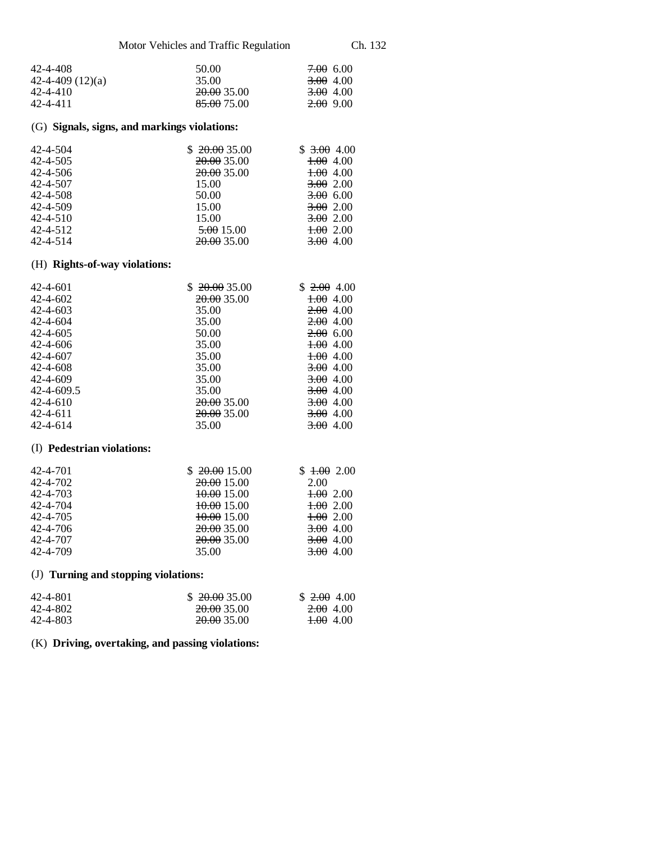| 42-4-408           | 50.00                  | <del>7.00</del> 6.00 |
|--------------------|------------------------|----------------------|
| 42-4-409 $(12)(a)$ | 35.00                  | 3.00 4.00            |
| 42-4-410           | <del>20.00</del> 35.00 | 3.00 4.00            |
| 42-4-411           | 85.00 75.00            | <del>2.00</del> 9.00 |

### (G) **Signals, signs, and markings violations:**

| 42-4-504       | \$20.0035.00           | \$3,00,4.00 |
|----------------|------------------------|-------------|
| 42-4-505       | 20.00 35.00            | $1.00$ 4.00 |
| $42 - 4 - 506$ | 20.00 35.00            | $+0.00400$  |
| 42-4-507       | 15.00                  | 3.002.00    |
| $42 - 4 - 508$ | 50.00                  | 3.00, 6.00  |
| $42 - 4 - 509$ | 15.00                  | 3.002.00    |
| $42 - 4 - 510$ | 15.00                  | 3.002.00    |
| 42-4-512       | <del>5.00</del> 15.00  | $+0.00200$  |
| 42-4-514       | <del>20.00</del> 35.00 | 3.00, 4.00  |

## (H) **Rights-of-way violations:**

| $42 - 4 - 601$ | 20.00 35.00            | $$2.00$ 4.00         |
|----------------|------------------------|----------------------|
| 42-4-602       | <del>20.00</del> 35.00 | <del>1.00</del> 4.00 |
| $42 - 4 - 603$ | 35.00                  | <del>2.00</del> 4.00 |
| 42-4-604       | 35.00                  | 2.00, 4.00           |
| $42 - 4 - 605$ | 50.00                  | $2.00\ 6.00$         |
| $42 - 4 - 606$ | 35.00                  | $\pm 0.004$          |
| $42 - 4 - 607$ | 35.00                  | $\pm 0.004$          |
| 42-4-608       | 35.00                  | <del>3.00</del> 4.00 |
| $42 - 4 - 609$ | 35.00                  | 3.00, 4.00           |
| 42-4-609.5     | 35.00                  | <del>3.00</del> 4.00 |
| 42-4-610       | <del>20.00</del> 35.00 | <del>3.00</del> 4.00 |
| 42-4-611       | <del>20.00</del> 35.00 | <del>3.00</del> 4.00 |
| $42 - 4 - 614$ | 35.00                  | <del>3.00</del> 4.00 |

#### (I) **Pedestrian violations:**

| 42-4-701       | \$20.0015.00           | \$1.002.00           |
|----------------|------------------------|----------------------|
| 42-4-702       | 20.00 15.00            | 2.00                 |
| 42-4-703       | 10.0015.00             | 1.002.00             |
| 42-4-704       | <del>10.00</del> 15.00 | 1.002.00             |
| 42-4-705       | <del>10.00</del> 15.00 | $+0.00200$           |
| $42 - 4 - 706$ | 20.00 35.00            | 3.00, 4.00           |
| 42-4-707       | <del>20.00</del> 35.00 | <del>3.00</del> 4.00 |
| 42-4-709       | 35.00                  | 3.00 4.00            |

## (J) **Turning and stopping violations:**

| 42-4-801 | \$20.0035.00           | \$2.00, 4.00         |
|----------|------------------------|----------------------|
| 42-4-802 | <del>20.00</del> 35.00 | <del>2.00</del> 4.00 |
| 42-4-803 | <del>20.00</del> 35.00 | <del>1.00</del> 4.00 |

### (K) **Driving, overtaking, and passing violations:**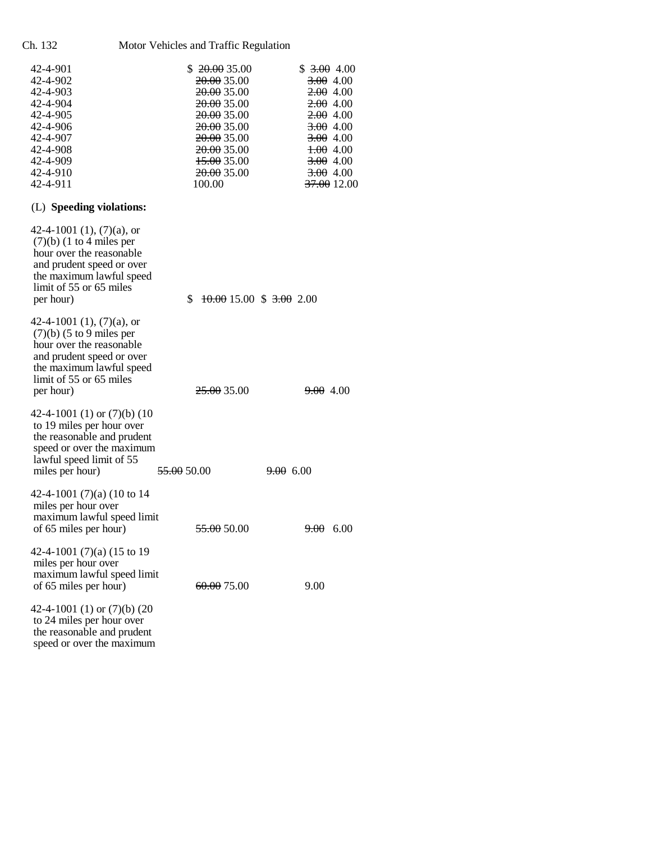Ch. 132 Motor Vehicles and Traffic Regulation

| 42-4-901       | \$20.0035.00           | \$3,00,4.00          |
|----------------|------------------------|----------------------|
| 42-4-902       | 20.00 35.00            | <del>3.00</del> 4.00 |
| 42-4-903       | 20.0035.00             | 2.00, 4.00           |
| 42-4-904       | 20.00 35.00            | 2.00, 4.00           |
| $42 - 4 - 905$ | 20.00 35.00            | 2.00, 4.00           |
| 42-4-906       | 20.00 35.00            | <del>3.00</del> 4.00 |
| 42-4-907       | 20.00 35.00            | 3.00 4.00            |
| 42-4-908       | <del>20.00</del> 35.00 | $\pm 0.004$          |
| 42-4-909       | <del>15.00</del> 35.00 | <del>3.00</del> 4.00 |
| 42-4-910       | 20.00 35.00            | <del>3.00</del> 4.00 |
| 42-4-911       | 100.00                 | 37.00 12.00          |
|                |                        |                      |

# (L) **Speeding violations:**

| 42-4-1001 (1), $(7)(a)$ , or<br>$(7)(b)$ (1 to 4 miles per<br>hour over the reasonable<br>and prudent speed or over<br>the maximum lawful speed<br>limit of 55 or 65 miles<br>per hour) | $\frac{10.00}{15.00}$ \$ 3.00 2.00<br>\$ |                      |
|-----------------------------------------------------------------------------------------------------------------------------------------------------------------------------------------|------------------------------------------|----------------------|
| 42-4-1001 (1), $(7)(a)$ , or<br>$(7)(b)$ (5 to 9 miles per<br>hour over the reasonable<br>and prudent speed or over<br>the maximum lawful speed<br>limit of 55 or 65 miles<br>per hour) | 25.00 35.00                              | <del>9.00</del> 4.00 |
| 42-4-1001 (1) or $(7)(b)$ (10<br>to 19 miles per hour over<br>the reasonable and prudent<br>speed or over the maximum<br>lawful speed limit of 55<br>miles per hour)                    | <del>55.00</del> 50.00                   | $9.00\ 6.00$         |
| 42-4-1001 $(7)(a)$ (10 to 14<br>miles per hour over<br>maximum lawful speed limit<br>of 65 miles per hour)                                                                              | 55.00 50.00                              | <del>9.00</del> 6.00 |
| 42-4-1001 $(7)(a)$ (15 to 19<br>miles per hour over<br>maximum lawful speed limit<br>of 65 miles per hour)                                                                              | 60.00 75.00                              | 9.00                 |
| 42-4-1001 (1) or $(7)(b)$ (20<br>to 24 miles per hour over                                                                                                                              |                                          |                      |

 the reasonable and prudent speed or over the maximum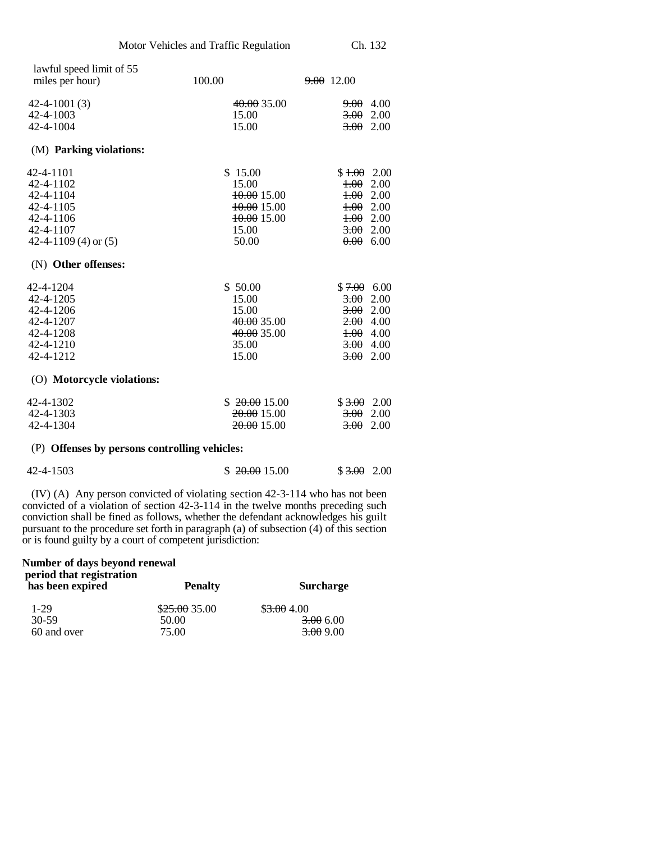| lawful speed limit of 55<br>miles per hour)   | 100.00       | $9.00$ 12.00             |      |
|-----------------------------------------------|--------------|--------------------------|------|
| $42 - 4 - 1001(3)$                            | 40.00 35.00  | <del>9.00</del> 4.00     |      |
| $42 - 4 - 1003$                               | 15.00        | 3.00                     | 2.00 |
| 42-4-1004                                     | 15.00        | 3.002.00                 |      |
| (M) Parking violations:                       |              |                          |      |
| 42-4-1101                                     | \$15.00      | $$1.00$ 2.00             |      |
| 42-4-1102                                     | 15.00        | $+00$                    | 2.00 |
| 42-4-1104                                     | 10.00 15.00  | $+00$                    | 2.00 |
| 42-4-1105                                     | 10.0015.00   | 1.00200                  |      |
| 42-4-1106                                     | 10.00 15.00  | $\frac{1.00}{0.00}$ 2.00 |      |
| 42-4-1107                                     | 15.00        | 3.00                     | 2.00 |
| 42-4-1109 (4) or $(5)$                        | 50.00        | 0.00                     | 6.00 |
| (N) Other offenses:                           |              |                          |      |
| 42-4-1204                                     | \$50.00      | $$7.00$ 6.00             |      |
| 42-4-1205                                     | 15.00        | 3.00                     | 2.00 |
| 42-4-1206                                     | 15.00        | 3.00                     | 2.00 |
| 42-4-1207                                     | 40.00 35.00  | $2.00$ 4.00              |      |
| 42-4-1208                                     | 40.00 35.00  | $\pm 0.004$              |      |
| 42-4-1210                                     | 35.00        | $3.00$ 4.00              |      |
| 42-4-1212                                     | 15.00        | 3.00                     | 2.00 |
| (O) Motorcycle violations:                    |              |                          |      |
| 42-4-1302                                     | \$20.0015.00 | $$3,00$ 2.00             |      |
| 42-4-1303                                     | 20.00 15.00  | 3.00                     | 2.00 |
| 42-4-1304                                     | 20.00 15.00  | 3.00                     | 2.00 |
| (P) Offenses by persons controlling vehicles: |              |                          |      |

| 42-4-1503 | \$20.0015.00 | $$3.00$ 2.00 |  |
|-----------|--------------|--------------|--|
|-----------|--------------|--------------|--|

(IV) (A) Any person convicted of violating section 42-3-114 who has not been convicted of a violation of section 42-3-114 in the twelve months preceding such conviction shall be fined as follows, whether the defendant acknowledges his guilt pursuant to the procedure set forth in paragraph (a) of subsection (4) of this section or is found guilty by a court of competent jurisdiction:

**Number of days beyond renewal period that registration has been expired Penalty Surcharge** 

| $1-29$      | \$25.0035.00 | \$3,00,4.00          |
|-------------|--------------|----------------------|
| $30 - 59$   | 50.00        | 3.00 6.00            |
| 60 and over | 75.00        | <del>3.00</del> 9.00 |